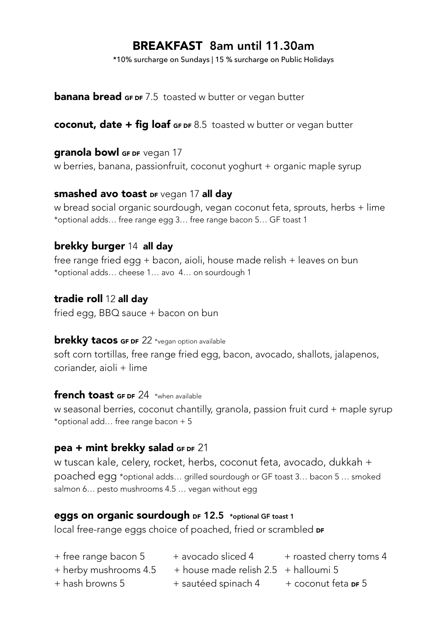# BREAKFAST 8am until 11.30am

\*10% surcharge on Sundays | 15 % surcharge on Public Holidays

**banana bread GF DF** 7.5 toasted w butter or vegan butter

coconut, date  $+$  fig loaf GF DF 8.5 toasted w butter or vegan butter

#### **granola bowl GF DF Vegan 17**

w berries, banana, passionfruit, coconut yoghurt + organic maple syrup

#### smashed avo toast DF vegan 17 all day

w bread social organic sourdough, vegan coconut feta, sprouts, herbs + lime \*optional adds… free range egg 3… free range bacon 5… GF toast 1

# brekky burger 14 all day

free range fried egg + bacon, aioli, house made relish + leaves on bun \*optional adds… cheese 1… avo 4… on sourdough 1

#### tradie roll 12 all day

fried egg, BBQ sauce + bacon on bun

#### **brekky tacos GF DF** 22 \*vegan option available

soft corn tortillas, free range fried egg, bacon, avocado, shallots, jalapenos, coriander, aioli + lime

#### french toast GF DF 24 \*when available

w seasonal berries, coconut chantilly, granola, passion fruit curd + maple syrup \*optional add… free range bacon + 5

#### pea + mint brekky salad GF DF 21

w tuscan kale, celery, rocket, herbs, coconut feta, avocado, dukkah + poached egg \*optional adds… grilled sourdough or GF toast 3… bacon 5 … smoked salmon 6… pesto mushrooms 4.5 … vegan without egg

#### eggs on organic sourdough DF 12.5 \*optional GF toast 1

local free-range eggs choice of poached, fried or scrambled DF

- + free range bacon 5 + avocado sliced 4 + roasted cherry toms 4  $+$  herby mushrooms 4.5  $+$  house made relish 2.5  $+$  halloumi 5
- 
- + hash browns 5 + sautéed spinach 4 + coconut feta DF 5
	-